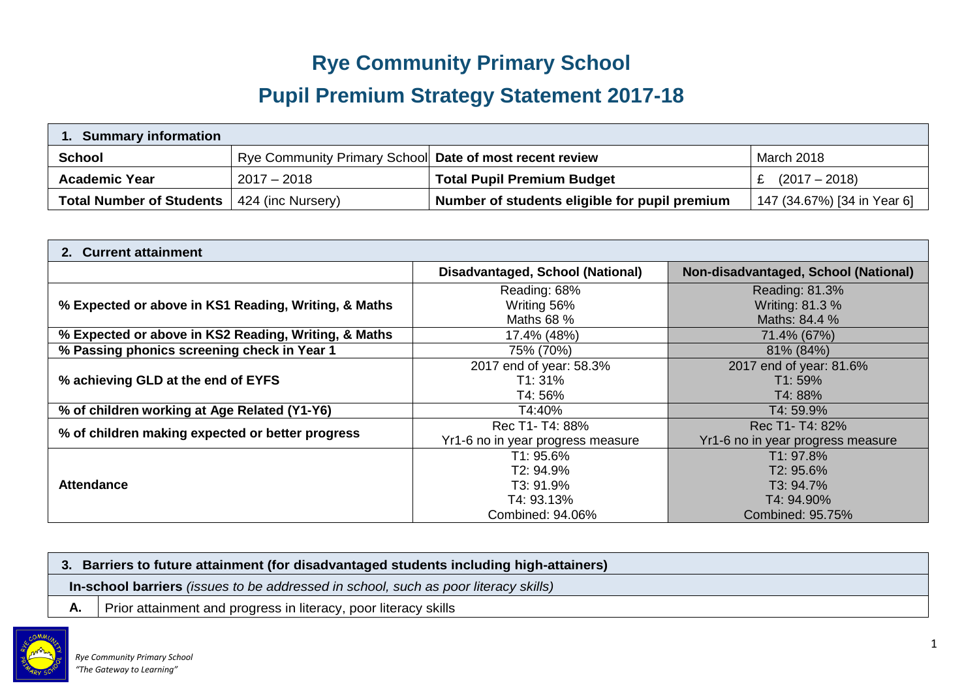## **Rye Community Primary School**

# **Pupil Premium Strategy Statement 2017-18**

| . Summary information           |                                                         |                                               |                             |  |  |  |
|---------------------------------|---------------------------------------------------------|-----------------------------------------------|-----------------------------|--|--|--|
| School                          | Rye Community Primary School Date of most recent review |                                               | March 2018                  |  |  |  |
| <b>Academic Year</b>            | $2017 - 2018$                                           | <b>Total Pupil Premium Budget</b>             | $(2017 - 2018)$             |  |  |  |
| <b>Total Number of Students</b> | 424 (inc Nursery)                                       | Number of students eligible for pupil premium | 147 (34.67%) [34 in Year 6] |  |  |  |

| 2. Current attainment                                |                                                                       |                                                                       |  |  |
|------------------------------------------------------|-----------------------------------------------------------------------|-----------------------------------------------------------------------|--|--|
|                                                      | Disadvantaged, School (National)                                      | Non-disadvantaged, School (National)                                  |  |  |
| % Expected or above in KS1 Reading, Writing, & Maths | Reading: 68%<br>Writing 56%<br>Maths 68 %                             | Reading: 81.3%<br>Writing: 81.3 %<br>Maths: 84.4 %                    |  |  |
| % Expected or above in KS2 Reading, Writing, & Maths | 17.4% (48%)                                                           | 71.4% (67%)                                                           |  |  |
| % Passing phonics screening check in Year 1          | 75% (70%)                                                             | 81% (84%)                                                             |  |  |
| % achieving GLD at the end of EYFS                   | 2017 end of year: 58.3%<br>T1: 31%<br>T4: 56%                         | 2017 end of year: 81.6%<br>T1:59%<br>T4: 88%                          |  |  |
| % of children working at Age Related (Y1-Y6)         | T4:40%                                                                | T4: 59.9%                                                             |  |  |
| % of children making expected or better progress     | Rec T1- T4: 88%<br>Yr1-6 no in year progress measure                  | Rec T1- T4: 82%<br>Yr1-6 no in year progress measure                  |  |  |
| <b>Attendance</b>                                    | T1: 95.6%<br>T2: 94.9%<br>T3: 91.9%<br>T4: 93.13%<br>Combined: 94.06% | T1: 97.8%<br>T2: 95.6%<br>T3: 94.7%<br>T4: 94.90%<br>Combined: 95.75% |  |  |

|    | 3. Barriers to future attainment (for disadvantaged students including high-attainers) |  |  |  |
|----|----------------------------------------------------------------------------------------|--|--|--|
|    | In-school barriers (issues to be addressed in school, such as poor literacy skills)    |  |  |  |
| А. | Prior attainment and progress in literacy, poor literacy skills                        |  |  |  |

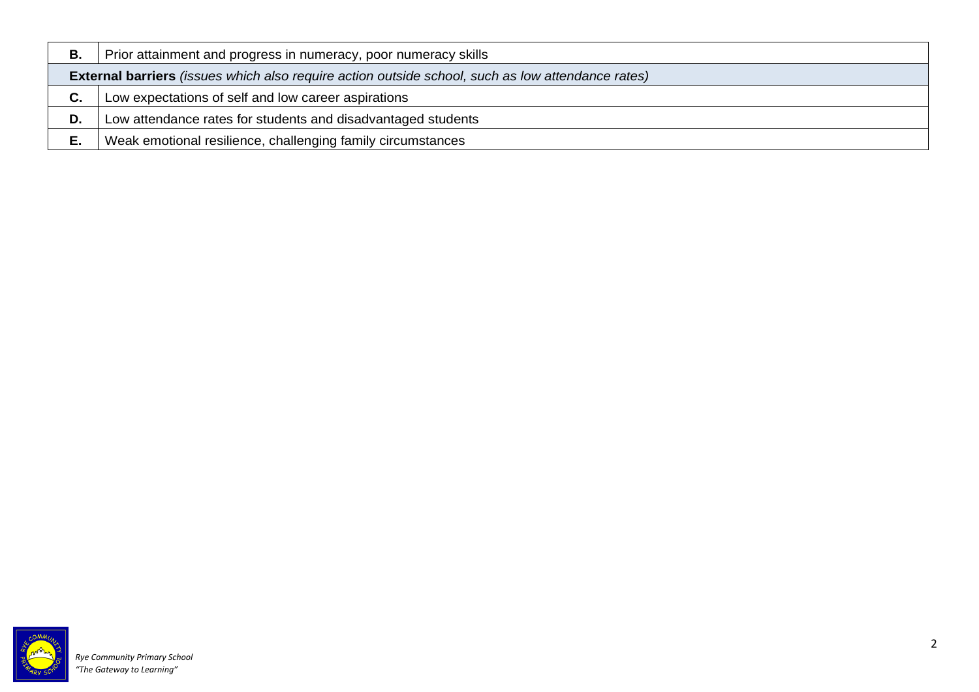| В. | Prior attainment and progress in numeracy, poor numeracy skills                                          |
|----|----------------------------------------------------------------------------------------------------------|
|    | <b>External barriers</b> (issues which also require action outside school, such as low attendance rates) |
| C. | Low expectations of self and low career aspirations                                                      |
| D. | Low attendance rates for students and disadvantaged students                                             |
| Е. | Weak emotional resilience, challenging family circumstances                                              |

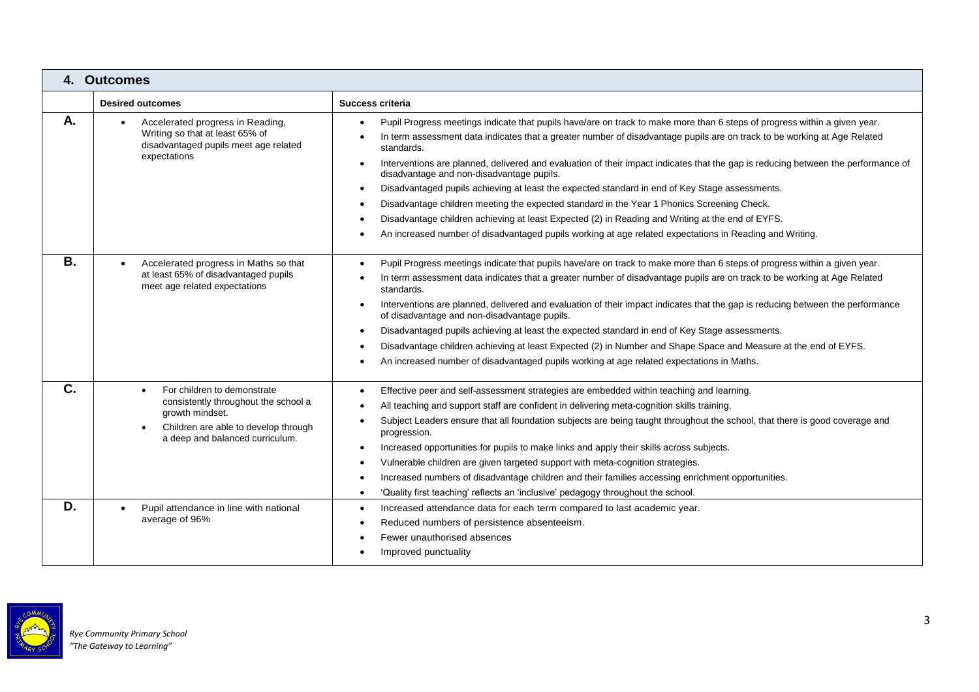|           | 4. Outcomes                                                                                                                                                       |                                                                                                                                                                                                                                                                                                                                                                                                                                                                                                                                                                                                                                                                                                                                                                                                                                                                                                             |
|-----------|-------------------------------------------------------------------------------------------------------------------------------------------------------------------|-------------------------------------------------------------------------------------------------------------------------------------------------------------------------------------------------------------------------------------------------------------------------------------------------------------------------------------------------------------------------------------------------------------------------------------------------------------------------------------------------------------------------------------------------------------------------------------------------------------------------------------------------------------------------------------------------------------------------------------------------------------------------------------------------------------------------------------------------------------------------------------------------------------|
|           | <b>Desired outcomes</b>                                                                                                                                           | Success criteria                                                                                                                                                                                                                                                                                                                                                                                                                                                                                                                                                                                                                                                                                                                                                                                                                                                                                            |
| Α.        | Accelerated progress in Reading,<br>Writing so that at least 65% of<br>disadvantaged pupils meet age related<br>expectations                                      | Pupil Progress meetings indicate that pupils have/are on track to make more than 6 steps of progress within a given year.<br>In term assessment data indicates that a greater number of disadvantage pupils are on track to be working at Age Related<br>standards.<br>Interventions are planned, delivered and evaluation of their impact indicates that the gap is reducing between the performance of<br>$\bullet$<br>disadvantage and non-disadvantage pupils.<br>Disadvantaged pupils achieving at least the expected standard in end of Key Stage assessments.<br>$\bullet$<br>Disadvantage children meeting the expected standard in the Year 1 Phonics Screening Check.<br>$\bullet$<br>Disadvantage children achieving at least Expected (2) in Reading and Writing at the end of EYFS.<br>An increased number of disadvantaged pupils working at age related expectations in Reading and Writing. |
| <b>B.</b> | Accelerated progress in Maths so that<br>at least 65% of disadvantaged pupils<br>meet age related expectations                                                    | Pupil Progress meetings indicate that pupils have/are on track to make more than 6 steps of progress within a given year.<br>In term assessment data indicates that a greater number of disadvantage pupils are on track to be working at Age Related<br>standards.<br>Interventions are planned, delivered and evaluation of their impact indicates that the gap is reducing between the performance<br>of disadvantage and non-disadvantage pupils.<br>Disadvantaged pupils achieving at least the expected standard in end of Key Stage assessments.<br>Disadvantage children achieving at least Expected (2) in Number and Shape Space and Measure at the end of EYFS.<br>An increased number of disadvantaged pupils working at age related expectations in Maths.<br>$\bullet$                                                                                                                        |
| C.        | For children to demonstrate<br>consistently throughout the school a<br>growth mindset.<br>Children are able to develop through<br>a deep and balanced curriculum. | Effective peer and self-assessment strategies are embedded within teaching and learning.<br>٠<br>All teaching and support staff are confident in delivering meta-cognition skills training.<br>Subject Leaders ensure that all foundation subjects are being taught throughout the school, that there is good coverage and<br>progression.<br>Increased opportunities for pupils to make links and apply their skills across subjects.<br>Vulnerable children are given targeted support with meta-cognition strategies.<br>$\bullet$<br>Increased numbers of disadvantage children and their families accessing enrichment opportunities.<br>'Quality first teaching' reflects an 'inclusive' pedagogy throughout the school.<br>$\bullet$                                                                                                                                                                 |
| D.        | Pupil attendance in line with national<br>average of 96%                                                                                                          | Increased attendance data for each term compared to last academic year.<br>$\bullet$<br>Reduced numbers of persistence absenteeism.<br>Fewer unauthorised absences<br>Improved punctuality<br>$\bullet$                                                                                                                                                                                                                                                                                                                                                                                                                                                                                                                                                                                                                                                                                                     |

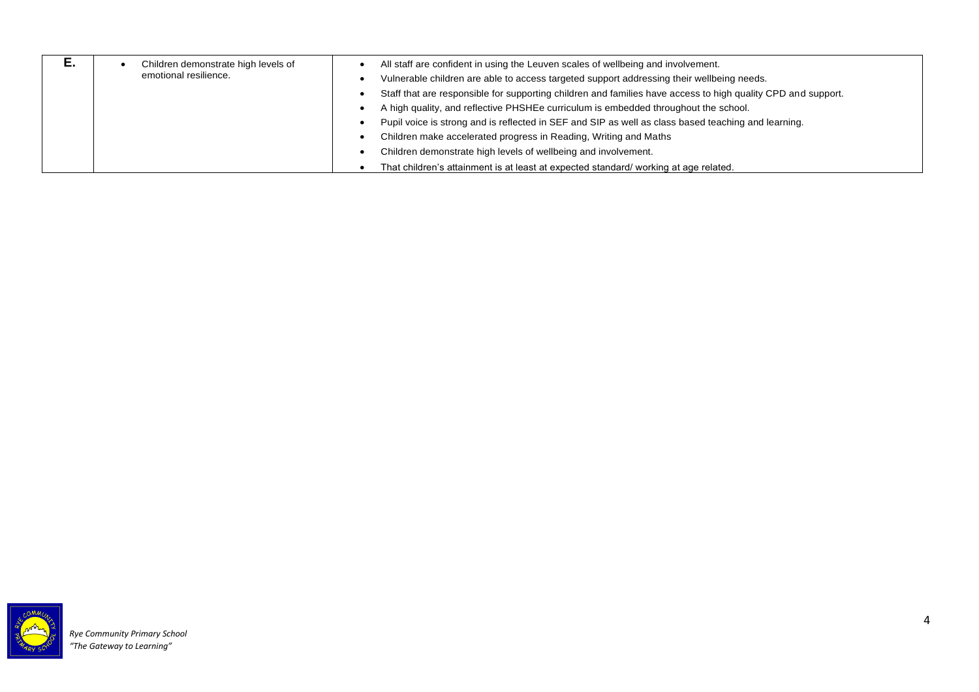| L. | Children demonstrate high levels of<br>emotional resilience. | All staff are confident in using the Leuven scales of wellbeing and involvement.                             |
|----|--------------------------------------------------------------|--------------------------------------------------------------------------------------------------------------|
|    |                                                              | Vulnerable children are able to access targeted support addressing their wellbeing needs.                    |
|    |                                                              | Staff that are responsible for supporting children and families have access to high quality CPD and support. |
|    |                                                              | A high quality, and reflective PHSHEe curriculum is embedded throughout the school.                          |
|    |                                                              | Pupil voice is strong and is reflected in SEF and SIP as well as class based teaching and learning.          |
|    |                                                              | Children make accelerated progress in Reading, Writing and Maths                                             |
|    |                                                              | Children demonstrate high levels of wellbeing and involvement.                                               |
|    |                                                              | That children's attainment is at least at expected standard/working at age related.                          |

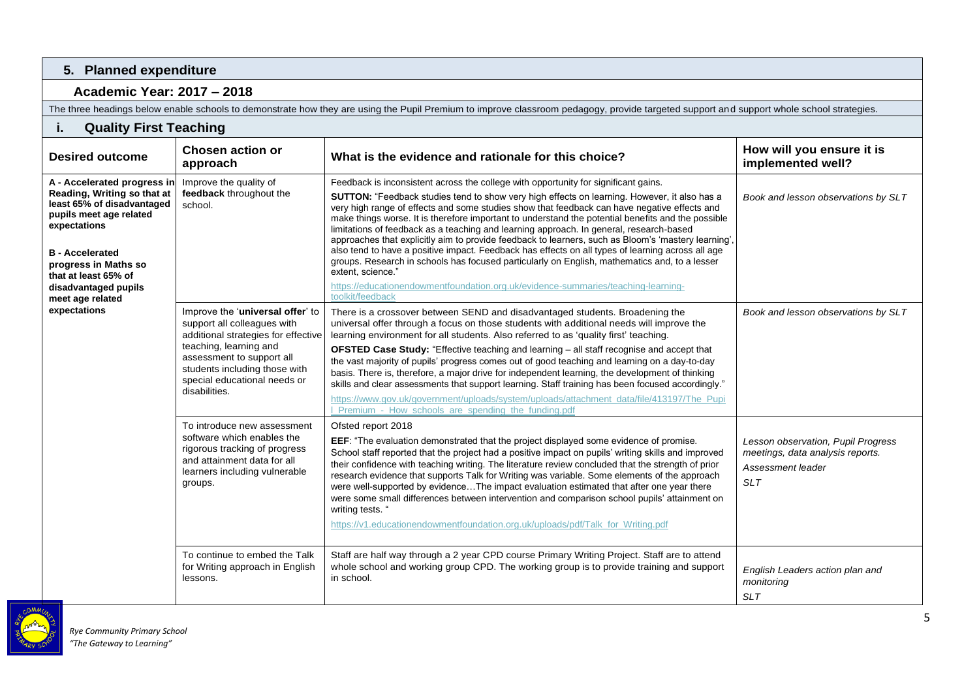#### **5. Planned expenditure**

#### **Academic Year: 2017 – 2018**

The three headings below enable schools to demonstrate how they are using the Pupil Premium to improve classroom pedagogy, provide targeted support and support whole school strategies.

### **i. Quality First Teaching**

| <b>Chosen action or</b><br><b>Desired outcome</b><br>approach                                                                                                                                                                                             |                                                                                                                                                                                                                                                 | What is the evidence and rationale for this choice?                                                                                                                                                                                                                                                                                                                                                                                                                                                                                                                                                                                                                                                                                                                                                                                                                                                                                    | How will you ensure it is<br>implemented well?                                                            |
|-----------------------------------------------------------------------------------------------------------------------------------------------------------------------------------------------------------------------------------------------------------|-------------------------------------------------------------------------------------------------------------------------------------------------------------------------------------------------------------------------------------------------|----------------------------------------------------------------------------------------------------------------------------------------------------------------------------------------------------------------------------------------------------------------------------------------------------------------------------------------------------------------------------------------------------------------------------------------------------------------------------------------------------------------------------------------------------------------------------------------------------------------------------------------------------------------------------------------------------------------------------------------------------------------------------------------------------------------------------------------------------------------------------------------------------------------------------------------|-----------------------------------------------------------------------------------------------------------|
| A - Accelerated progress in<br>Reading, Writing so that at<br>least 65% of disadvantaged<br>pupils meet age related<br>expectations<br><b>B</b> - Accelerated<br>progress in Maths so<br>that at least 65% of<br>disadvantaged pupils<br>meet age related | Improve the quality of<br>feedback throughout the<br>school.                                                                                                                                                                                    | Feedback is inconsistent across the college with opportunity for significant gains.<br><b>SUTTON:</b> "Feedback studies tend to show very high effects on learning. However, it also has a<br>very high range of effects and some studies show that feedback can have negative effects and<br>make things worse. It is therefore important to understand the potential benefits and the possible<br>limitations of feedback as a teaching and learning approach. In general, research-based<br>approaches that explicitly aim to provide feedback to learners, such as Bloom's 'mastery learning',<br>also tend to have a positive impact. Feedback has effects on all types of learning across all age<br>groups. Research in schools has focused particularly on English, mathematics and, to a lesser<br>extent, science."<br>https://educationendowmentfoundation.org.uk/evidence-summaries/teaching-learning-<br>toolkit/feedback | Book and lesson observations by SLT                                                                       |
| expectations                                                                                                                                                                                                                                              | Improve the 'universal offer' to<br>support all colleagues with<br>additional strategies for effective<br>teaching, learning and<br>assessment to support all<br>students including those with<br>special educational needs or<br>disabilities. | There is a crossover between SEND and disadvantaged students. Broadening the<br>universal offer through a focus on those students with additional needs will improve the<br>learning environment for all students. Also referred to as 'quality first' teaching.<br>OFSTED Case Study: "Effective teaching and learning - all staff recognise and accept that<br>the vast majority of pupils' progress comes out of good teaching and learning on a day-to-day<br>basis. There is, therefore, a major drive for independent learning, the development of thinking<br>skills and clear assessments that support learning. Staff training has been focused accordingly."<br>https://www.gov.uk/government/uploads/system/uploads/attachment_data/file/413197/The_Pupi<br>Premium - How schools are spending the funding.pdf                                                                                                              | Book and lesson observations by SLT                                                                       |
|                                                                                                                                                                                                                                                           | To introduce new assessment<br>software which enables the<br>rigorous tracking of progress<br>and attainment data for all<br>learners including vulnerable<br>groups.                                                                           | Ofsted report 2018<br>EEF: "The evaluation demonstrated that the project displayed some evidence of promise.<br>School staff reported that the project had a positive impact on pupils' writing skills and improved<br>their confidence with teaching writing. The literature review concluded that the strength of prior<br>research evidence that supports Talk for Writing was variable. Some elements of the approach<br>were well-supported by evidenceThe impact evaluation estimated that after one year there<br>were some small differences between intervention and comparison school pupils' attainment on<br>writing tests. "<br>https://v1.educationendowmentfoundation.org.uk/uploads/pdf/Talk_for_Writing.pdf                                                                                                                                                                                                           | Lesson observation, Pupil Progress<br>meetings, data analysis reports.<br>Assessment leader<br><b>SLT</b> |
|                                                                                                                                                                                                                                                           | To continue to embed the Talk<br>for Writing approach in English<br>lessons.                                                                                                                                                                    | Staff are half way through a 2 year CPD course Primary Writing Project. Staff are to attend<br>whole school and working group CPD. The working group is to provide training and support<br>in school.                                                                                                                                                                                                                                                                                                                                                                                                                                                                                                                                                                                                                                                                                                                                  | English Leaders action plan and<br>monitoring<br><b>SLT</b>                                               |

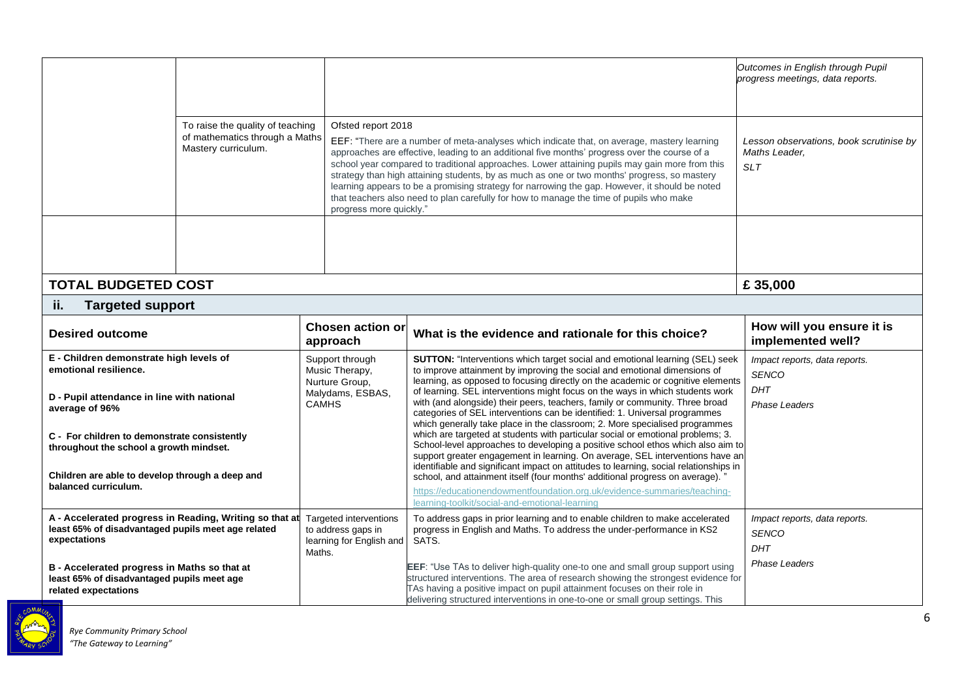|                                                                                                                                                                    |  |                                                                                         |                                                                                                                                                                                                                                                                                                                                                                                                                                                                                                                                                                                             | Outcomes in English through Pupil<br>progress meetings, data reports.        |
|--------------------------------------------------------------------------------------------------------------------------------------------------------------------|--|-----------------------------------------------------------------------------------------|---------------------------------------------------------------------------------------------------------------------------------------------------------------------------------------------------------------------------------------------------------------------------------------------------------------------------------------------------------------------------------------------------------------------------------------------------------------------------------------------------------------------------------------------------------------------------------------------|------------------------------------------------------------------------------|
| To raise the quality of teaching<br>of mathematics through a Maths<br>Mastery curriculum.                                                                          |  | Ofsted report 2018<br>progress more quickly."                                           | EEF: "There are a number of meta-analyses which indicate that, on average, mastery learning<br>approaches are effective, leading to an additional five months' progress over the course of a<br>school year compared to traditional approaches. Lower attaining pupils may gain more from this<br>strategy than high attaining students, by as much as one or two months' progress, so mastery<br>learning appears to be a promising strategy for narrowing the gap. However, it should be noted<br>that teachers also need to plan carefully for how to manage the time of pupils who make | Lesson observations, book scrutinise by<br>Maths Leader.<br><b>SLT</b>       |
|                                                                                                                                                                    |  |                                                                                         |                                                                                                                                                                                                                                                                                                                                                                                                                                                                                                                                                                                             |                                                                              |
| <b>TOTAL BUDGETED COST</b>                                                                                                                                         |  |                                                                                         |                                                                                                                                                                                                                                                                                                                                                                                                                                                                                                                                                                                             | £35,000                                                                      |
| ii.<br><b>Targeted support</b>                                                                                                                                     |  |                                                                                         |                                                                                                                                                                                                                                                                                                                                                                                                                                                                                                                                                                                             |                                                                              |
| <b>Desired outcome</b>                                                                                                                                             |  | <b>Chosen action or</b><br>approach                                                     | What is the evidence and rationale for this choice?                                                                                                                                                                                                                                                                                                                                                                                                                                                                                                                                         | How will you ensure it is<br>implemented well?                               |
| E - Children demonstrate high levels of<br>emotional resilience.<br>D - Pupil attendance in line with national<br>average of 96%                                   |  | Support through<br>Music Therapy,<br>Nurture Group,<br>Malydams, ESBAS,<br><b>CAMHS</b> | SUTTON: "Interventions which target social and emotional learning (SEL) seek<br>to improve attainment by improving the social and emotional dimensions of<br>learning, as opposed to focusing directly on the academic or cognitive elements<br>of learning. SEL interventions might focus on the ways in which students work<br>with (and alongside) their peers, teachers, family or community. Three broad<br>categories of SEL interventions can be identified: 1. Universal programmes<br>which generally take place in the classroom; 2. More specialised programmes                  | Impact reports, data reports.<br><b>SENCO</b><br><b>DHT</b><br>Phase Leaders |
| C - For children to demonstrate consistently<br>throughout the school a growth mindset.<br>Children are able to develop through a deep and<br>balanced curriculum. |  |                                                                                         | which are targeted at students with particular social or emotional problems; 3.<br>School-level approaches to developing a positive school ethos which also aim to<br>support greater engagement in learning. On average, SEL interventions have an<br>identifiable and significant impact on attitudes to learning, social relationships in<br>school, and attainment itself (four months' additional progress on average).                                                                                                                                                                |                                                                              |
|                                                                                                                                                                    |  |                                                                                         | https://educationendowmentfoundation.org.uk/evidence-summaries/teaching-<br>learning-toolkit/social-and-emotional-learning                                                                                                                                                                                                                                                                                                                                                                                                                                                                  |                                                                              |
| A - Accelerated progress in Reading, Writing so that at<br>least 65% of disadvantaged pupils meet age related<br>expectations                                      |  | Targeted interventions<br>to address gaps in<br>learning for English and<br>Maths.      | To address gaps in prior learning and to enable children to make accelerated<br>progress in English and Maths. To address the under-performance in KS2<br>SATS.                                                                                                                                                                                                                                                                                                                                                                                                                             | Impact reports, data reports.<br><b>SENCO</b><br><b>DHT</b>                  |
| B - Accelerated progress in Maths so that at<br>least 65% of disadvantaged pupils meet age<br>related expectations                                                 |  |                                                                                         | EEF: "Use TAs to deliver high-quality one-to one and small group support using<br>structured interventions. The area of research showing the strongest evidence for<br>TAs having a positive impact on pupil attainment focuses on their role in<br>delivering structured interventions in one-to-one or small group settings. This                                                                                                                                                                                                                                                         | <b>Phase Leaders</b>                                                         |

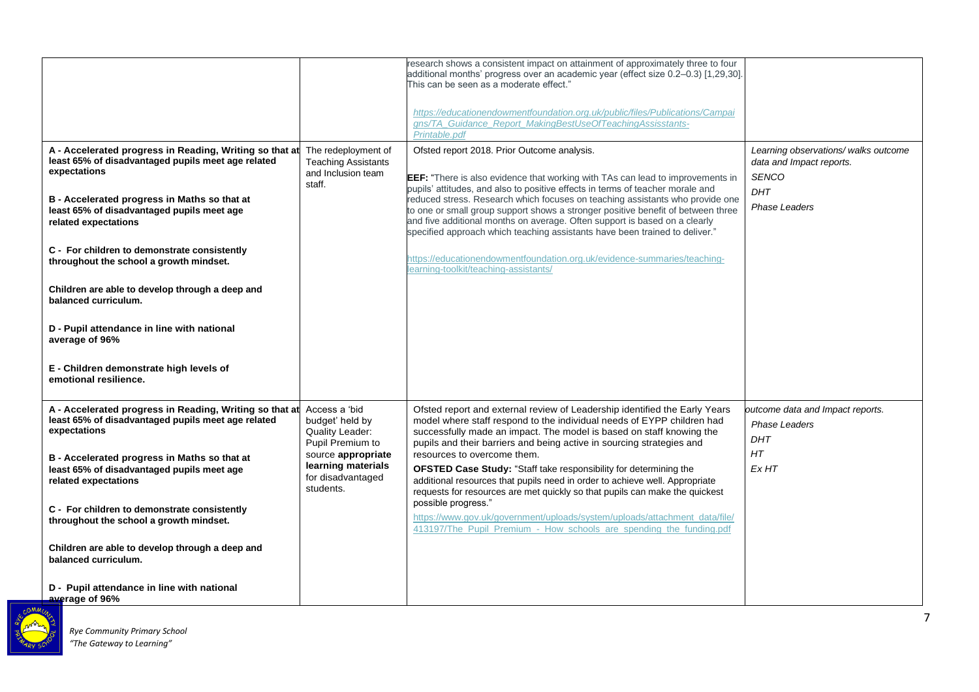| A - Accelerated progress in Reading, Writing so that at                                                                       | The redeployment of                                                        | research shows a consistent impact on attainment of approximately three to four<br>additional months' progress over an academic year (effect size 0.2-0.3) [1,29,30].<br>This can be seen as a moderate effect."<br>https://educationendowmentfoundation.org.uk/public/files/Publications/Campai<br>gns/TA_Guidance_Report_MakingBestUseOfTeachingAssisstants-<br>Printable.pdf<br>Ofsted report 2018. Prior Outcome analysis. | Learning observations/ walks outcome                            |
|-------------------------------------------------------------------------------------------------------------------------------|----------------------------------------------------------------------------|--------------------------------------------------------------------------------------------------------------------------------------------------------------------------------------------------------------------------------------------------------------------------------------------------------------------------------------------------------------------------------------------------------------------------------|-----------------------------------------------------------------|
| least 65% of disadvantaged pupils meet age related<br>expectations                                                            | <b>Teaching Assistants</b><br>and Inclusion team<br>staff.                 | <b>EEF:</b> "There is also evidence that working with TAs can lead to improvements in<br>pupils' attitudes, and also to positive effects in terms of teacher morale and                                                                                                                                                                                                                                                        | data and Impact reports.<br><b>SENCO</b><br>DHT                 |
| B - Accelerated progress in Maths so that at<br>least 65% of disadvantaged pupils meet age<br>related expectations            |                                                                            | reduced stress. Research which focuses on teaching assistants who provide one<br>to one or small group support shows a stronger positive benefit of between three<br>and five additional months on average. Often support is based on a clearly<br>specified approach which teaching assistants have been trained to deliver."                                                                                                 | <b>Phase Leaders</b>                                            |
| C - For children to demonstrate consistently<br>throughout the school a growth mindset.                                       |                                                                            | https://educationendowmentfoundation.org.uk/evidence-summaries/teaching-<br>earning-toolkit/teaching-assistants/                                                                                                                                                                                                                                                                                                               |                                                                 |
| Children are able to develop through a deep and<br>balanced curriculum.                                                       |                                                                            |                                                                                                                                                                                                                                                                                                                                                                                                                                |                                                                 |
| D - Pupil attendance in line with national<br>average of 96%                                                                  |                                                                            |                                                                                                                                                                                                                                                                                                                                                                                                                                |                                                                 |
| E - Children demonstrate high levels of<br>emotional resilience.                                                              |                                                                            |                                                                                                                                                                                                                                                                                                                                                                                                                                |                                                                 |
| A - Accelerated progress in Reading, Writing so that at<br>least 65% of disadvantaged pupils meet age related<br>expectations | Access a 'bid<br>budget' held by<br>Quality Leader:<br>Pupil Premium to    | Ofsted report and external review of Leadership identified the Early Years<br>model where staff respond to the individual needs of EYPP children had<br>successfully made an impact. The model is based on staff knowing the<br>pupils and their barriers and being active in sourcing strategies and                                                                                                                          | outcome data and Impact reports.<br><b>Phase Leaders</b><br>DHT |
| B - Accelerated progress in Maths so that at<br>least 65% of disadvantaged pupils meet age<br>related expectations            | source appropriate<br>learning materials<br>for disadvantaged<br>students. | resources to overcome them.<br><b>OFSTED Case Study: "Staff take responsibility for determining the</b><br>additional resources that pupils need in order to achieve well. Appropriate<br>requests for resources are met quickly so that pupils can make the quickest                                                                                                                                                          | HT<br>Ex HT                                                     |
| C - For children to demonstrate consistently<br>throughout the school a growth mindset.                                       |                                                                            | possible progress."<br>https://www.gov.uk/government/uploads/system/uploads/attachment_data/file/<br>413197/The Pupil Premium - How schools are spending the funding.pdf                                                                                                                                                                                                                                                       |                                                                 |
| Children are able to develop through a deep and<br>balanced curriculum.                                                       |                                                                            |                                                                                                                                                                                                                                                                                                                                                                                                                                |                                                                 |
| D - Pupil attendance in line with national<br>average of 96%                                                                  |                                                                            |                                                                                                                                                                                                                                                                                                                                                                                                                                |                                                                 |

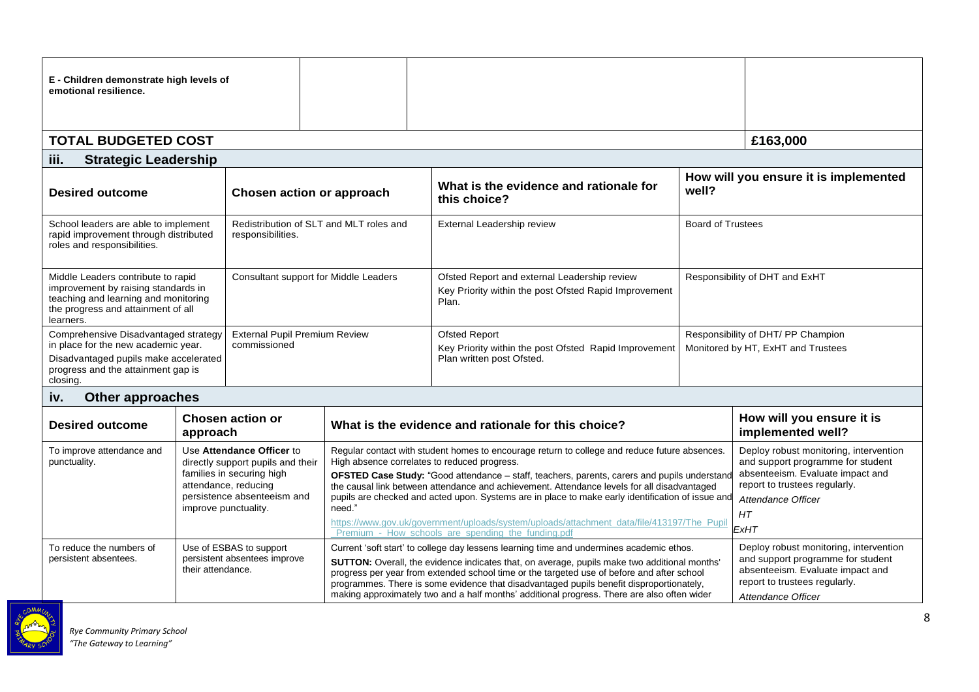| E - Children demonstrate high levels of<br>emotional resilience.                                                                                                                                                                  |          |                                         |                                                                                                                                                                                                                                                                                                                                                                                                                                                                                                                                                                                                       |                                                                          |                                                                                                                                                                                      |                                                |
|-----------------------------------------------------------------------------------------------------------------------------------------------------------------------------------------------------------------------------------|----------|-----------------------------------------|-------------------------------------------------------------------------------------------------------------------------------------------------------------------------------------------------------------------------------------------------------------------------------------------------------------------------------------------------------------------------------------------------------------------------------------------------------------------------------------------------------------------------------------------------------------------------------------------------------|--------------------------------------------------------------------------|--------------------------------------------------------------------------------------------------------------------------------------------------------------------------------------|------------------------------------------------|
| <b>TOTAL BUDGETED COST</b>                                                                                                                                                                                                        |          |                                         |                                                                                                                                                                                                                                                                                                                                                                                                                                                                                                                                                                                                       |                                                                          |                                                                                                                                                                                      | £163,000                                       |
| <b>Strategic Leadership</b><br>iii.                                                                                                                                                                                               |          |                                         |                                                                                                                                                                                                                                                                                                                                                                                                                                                                                                                                                                                                       |                                                                          |                                                                                                                                                                                      |                                                |
| <b>Desired outcome</b>                                                                                                                                                                                                            |          |                                         | Chosen action or approach                                                                                                                                                                                                                                                                                                                                                                                                                                                                                                                                                                             | What is the evidence and rationale for<br>well?<br>this choice?          |                                                                                                                                                                                      | How will you ensure it is implemented          |
| School leaders are able to implement<br>rapid improvement through distributed<br>responsibilities.<br>roles and responsibilities.                                                                                                 |          | Redistribution of SLT and MLT roles and | External Leadership review                                                                                                                                                                                                                                                                                                                                                                                                                                                                                                                                                                            |                                                                          | <b>Board of Trustees</b>                                                                                                                                                             |                                                |
| Middle Leaders contribute to rapid<br>Consultant support for Middle Leaders<br>improvement by raising standards in<br>teaching and learning and monitoring<br>the progress and attainment of all<br>learners.                     |          |                                         | Ofsted Report and external Leadership review<br>Key Priority within the post Ofsted Rapid Improvement<br>Plan.                                                                                                                                                                                                                                                                                                                                                                                                                                                                                        | Responsibility of DHT and ExHT                                           |                                                                                                                                                                                      |                                                |
| Comprehensive Disadvantaged strategy<br><b>External Pupil Premium Review</b><br>in place for the new academic year.<br>commissioned<br>Disadvantaged pupils make accelerated<br>progress and the attainment gap is<br>closing.    |          |                                         | <b>Ofsted Report</b><br>Key Priority within the post Ofsted Rapid Improvement<br>Plan written post Ofsted.                                                                                                                                                                                                                                                                                                                                                                                                                                                                                            | Responsibility of DHT/ PP Champion<br>Monitored by HT, ExHT and Trustees |                                                                                                                                                                                      |                                                |
| <b>Other approaches</b><br>iv.                                                                                                                                                                                                    |          |                                         |                                                                                                                                                                                                                                                                                                                                                                                                                                                                                                                                                                                                       |                                                                          |                                                                                                                                                                                      |                                                |
| <b>Desired outcome</b>                                                                                                                                                                                                            | approach | <b>Chosen action or</b>                 |                                                                                                                                                                                                                                                                                                                                                                                                                                                                                                                                                                                                       | What is the evidence and rationale for this choice?                      |                                                                                                                                                                                      | How will you ensure it is<br>implemented well? |
| To improve attendance and<br>Use Attendance Officer to<br>punctuality.<br>directly support pupils and their<br>families in securing high<br>attendance, reducing<br>persistence absenteeism and<br>need."<br>improve punctuality. |          |                                         | Regular contact with student homes to encourage return to college and reduce future absences.<br>High absence correlates to reduced progress.<br>OFSTED Case Study: "Good attendance - staff, teachers, parents, carers and pupils understand<br>the causal link between attendance and achievement. Attendance levels for all disadvantaged<br>pupils are checked and acted upon. Systems are in place to make early identification of issue and<br>https://www.gov.uk/government/uploads/system/uploads/attachment_data/file/413197/The_Pupil<br>Premium - How schools are spending the funding.pdf |                                                                          | Deploy robust monitoring, intervention<br>and support programme for student<br>absenteeism. Evaluate impact and<br>report to trustees regularly.<br>Attendance Officer<br>HT<br>ExHT |                                                |
| Use of ESBAS to support<br>To reduce the numbers of<br>persistent absentees improve<br>persistent absentees.<br>their attendance.                                                                                                 |          |                                         | Current 'soft start' to college day lessens learning time and undermines academic ethos.<br>SUTTON: Overall, the evidence indicates that, on average, pupils make two additional months'<br>progress per year from extended school time or the targeted use of before and after school<br>programmes. There is some evidence that disadvantaged pupils benefit disproportionately,<br>making approximately two and a half months' additional progress. There are also often wider                                                                                                                     |                                                                          | Deploy robust monitoring, intervention<br>and support programme for student<br>absenteeism. Evaluate impact and<br>report to trustees regularly.<br>Attendance Officer               |                                                |

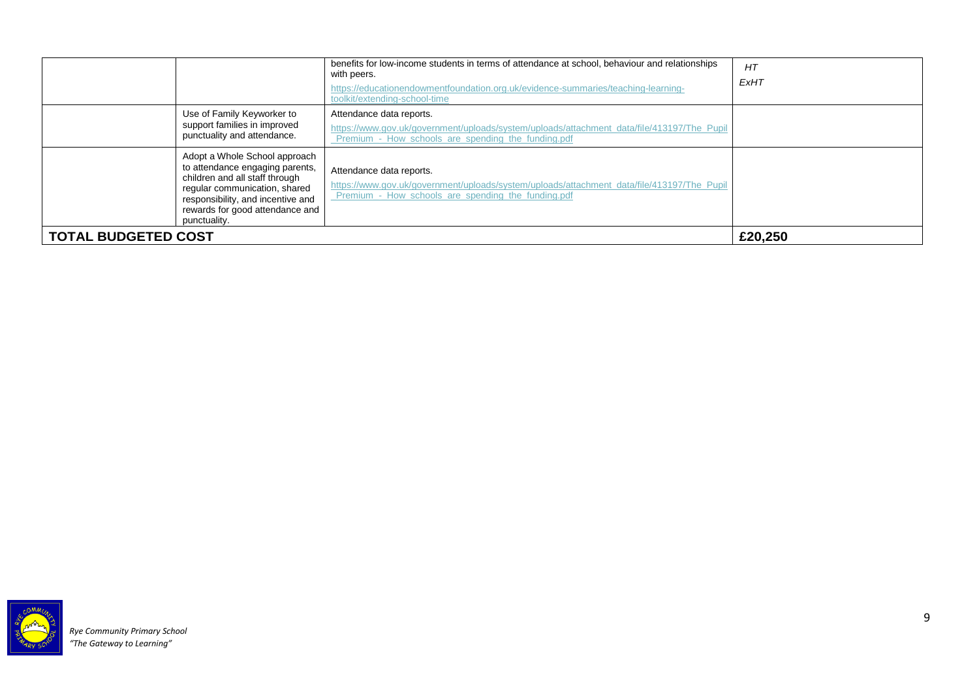|                            |                                                                                                                                                                                                                             | benefits for low-income students in terms of attendance at school, behaviour and relationships<br>with peers.<br>https://educationendowmentfoundation.org.uk/evidence-summaries/teaching-learning-<br>toolkit/extending-school-time | HT<br>ExHT |
|----------------------------|-----------------------------------------------------------------------------------------------------------------------------------------------------------------------------------------------------------------------------|-------------------------------------------------------------------------------------------------------------------------------------------------------------------------------------------------------------------------------------|------------|
|                            | Use of Family Keyworker to<br>support families in improved<br>punctuality and attendance.                                                                                                                                   | Attendance data reports.<br>https://www.gov.uk/government/uploads/system/uploads/attachment_data/file/413197/The_Pupil<br>Premium - How schools are spending the funding.pdf                                                        |            |
|                            | Adopt a Whole School approach<br>to attendance engaging parents,<br>children and all staff through<br>regular communication, shared<br>responsibility, and incentive and<br>rewards for good attendance and<br>punctuality. | Attendance data reports.<br>https://www.gov.uk/government/uploads/system/uploads/attachment_data/file/413197/The_Pupil<br>Premium - How schools are spending the funding.pdf                                                        |            |
| <b>TOTAL BUDGETED COST</b> |                                                                                                                                                                                                                             |                                                                                                                                                                                                                                     | £20,250    |

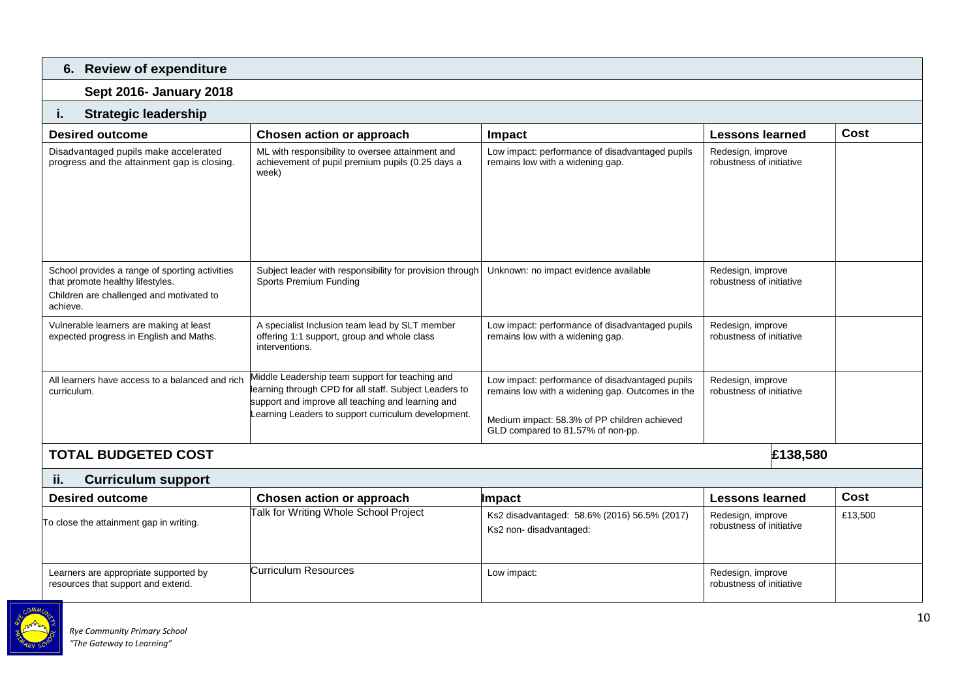| 6. Review of expenditure                                                                                                                   |                                                                                                                                                                                                                       |                                                                                                                                                                                          |                                               |         |  |  |  |  |  |
|--------------------------------------------------------------------------------------------------------------------------------------------|-----------------------------------------------------------------------------------------------------------------------------------------------------------------------------------------------------------------------|------------------------------------------------------------------------------------------------------------------------------------------------------------------------------------------|-----------------------------------------------|---------|--|--|--|--|--|
| <b>Sept 2016- January 2018</b>                                                                                                             |                                                                                                                                                                                                                       |                                                                                                                                                                                          |                                               |         |  |  |  |  |  |
| <b>Strategic leadership</b><br>ī.                                                                                                          |                                                                                                                                                                                                                       |                                                                                                                                                                                          |                                               |         |  |  |  |  |  |
| <b>Desired outcome</b>                                                                                                                     | Chosen action or approach                                                                                                                                                                                             | Impact                                                                                                                                                                                   | <b>Lessons learned</b>                        | Cost    |  |  |  |  |  |
| Disadvantaged pupils make accelerated<br>progress and the attainment gap is closing.                                                       | ML with responsibility to oversee attainment and<br>achievement of pupil premium pupils (0.25 days a<br>week)                                                                                                         | Low impact: performance of disadvantaged pupils<br>remains low with a widening gap.                                                                                                      | Redesign, improve<br>robustness of initiative |         |  |  |  |  |  |
| School provides a range of sporting activities<br>that promote healthy lifestyles.<br>Children are challenged and motivated to<br>achieve. | Subject leader with responsibility for provision through<br>Sports Premium Funding                                                                                                                                    | Unknown: no impact evidence available                                                                                                                                                    | Redesign, improve<br>robustness of initiative |         |  |  |  |  |  |
| Vulnerable learners are making at least<br>expected progress in English and Maths.                                                         | A specialist Inclusion team lead by SLT member<br>offering 1:1 support, group and whole class<br>interventions.                                                                                                       | Low impact: performance of disadvantaged pupils<br>remains low with a widening gap.                                                                                                      | Redesign, improve<br>robustness of initiative |         |  |  |  |  |  |
| All learners have access to a balanced and rich<br>curriculum.                                                                             | Middle Leadership team support for teaching and<br>learning through CPD for all staff. Subject Leaders to<br>support and improve all teaching and learning and<br>Learning Leaders to support curriculum development. | Low impact: performance of disadvantaged pupils<br>remains low with a widening gap. Outcomes in the<br>Medium impact: 58.3% of PP children achieved<br>GLD compared to 81.57% of non-pp. | Redesign, improve<br>robustness of initiative |         |  |  |  |  |  |
| £138,580<br><b>TOTAL BUDGETED COST</b>                                                                                                     |                                                                                                                                                                                                                       |                                                                                                                                                                                          |                                               |         |  |  |  |  |  |
| ii.<br><b>Curriculum support</b>                                                                                                           |                                                                                                                                                                                                                       |                                                                                                                                                                                          |                                               |         |  |  |  |  |  |
| <b>Desired outcome</b>                                                                                                                     | Chosen action or approach                                                                                                                                                                                             | <b>Impact</b>                                                                                                                                                                            | <b>Lessons learned</b>                        | Cost    |  |  |  |  |  |
| To close the attainment gap in writing.                                                                                                    | Talk for Writing Whole School Project                                                                                                                                                                                 | Ks2 disadvantaged: 58.6% (2016) 56.5% (2017)<br>Ks2 non-disadvantaged:                                                                                                                   | Redesign, improve<br>robustness of initiative | £13,500 |  |  |  |  |  |

Curriculum Resources Low impact:

Learners are appropriate supported by resources that support and extend.

Redesign, improve<br>robustness of initiative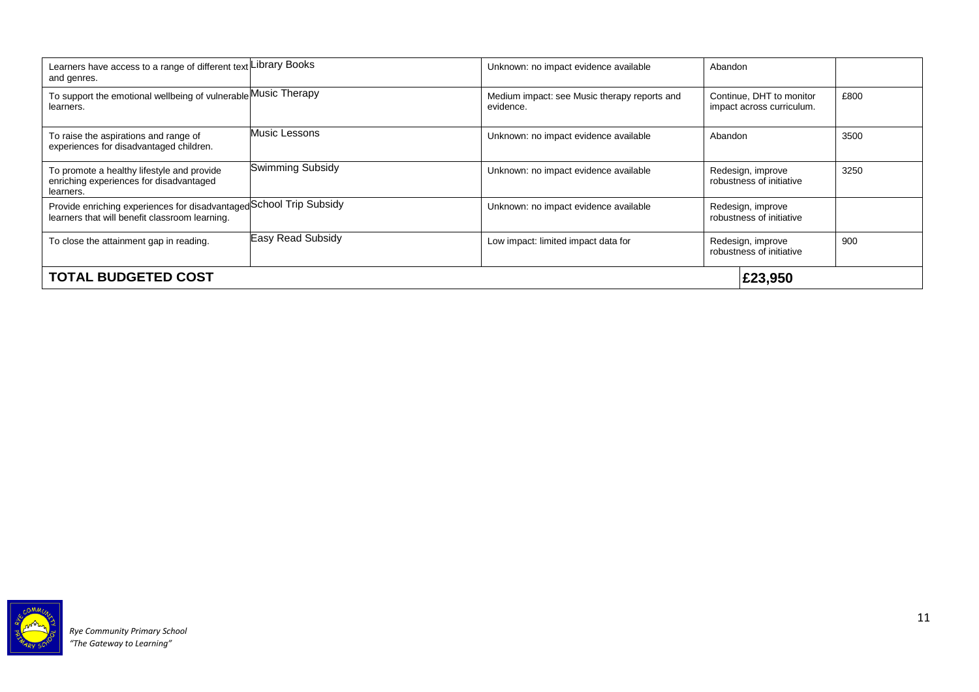| Learners have access to a range of different text Library Books<br>and genres.                                        |                   | Unknown: no impact evidence available                     | Abandon                                               |                                               |         |  |  |
|-----------------------------------------------------------------------------------------------------------------------|-------------------|-----------------------------------------------------------|-------------------------------------------------------|-----------------------------------------------|---------|--|--|
| To support the emotional wellbeing of vulnerable Music Therapy<br>learners.                                           |                   | Medium impact: see Music therapy reports and<br>evidence. | Continue, DHT to monitor<br>impact across curriculum. |                                               | £800    |  |  |
| To raise the aspirations and range of<br>experiences for disadvantaged children.                                      | Music Lessons     | Unknown: no impact evidence available                     | Abandon                                               |                                               | 3500    |  |  |
| To promote a healthy lifestyle and provide<br>enriching experiences for disadvantaged<br>learners.                    | Swimming Subsidy  | Unknown: no impact evidence available                     | Redesign, improve<br>robustness of initiative         |                                               | 3250    |  |  |
| Provide enriching experiences for disadvantaged School Trip Subsidy<br>learners that will benefit classroom learning. |                   | Unknown: no impact evidence available                     | Redesign, improve<br>robustness of initiative         |                                               |         |  |  |
| To close the attainment gap in reading.                                                                               | Easy Read Subsidy | Low impact: limited impact data for                       |                                                       | Redesign, improve<br>robustness of initiative | 900     |  |  |
| <b>TOTAL BUDGETED COST</b>                                                                                            |                   |                                                           |                                                       |                                               | £23,950 |  |  |

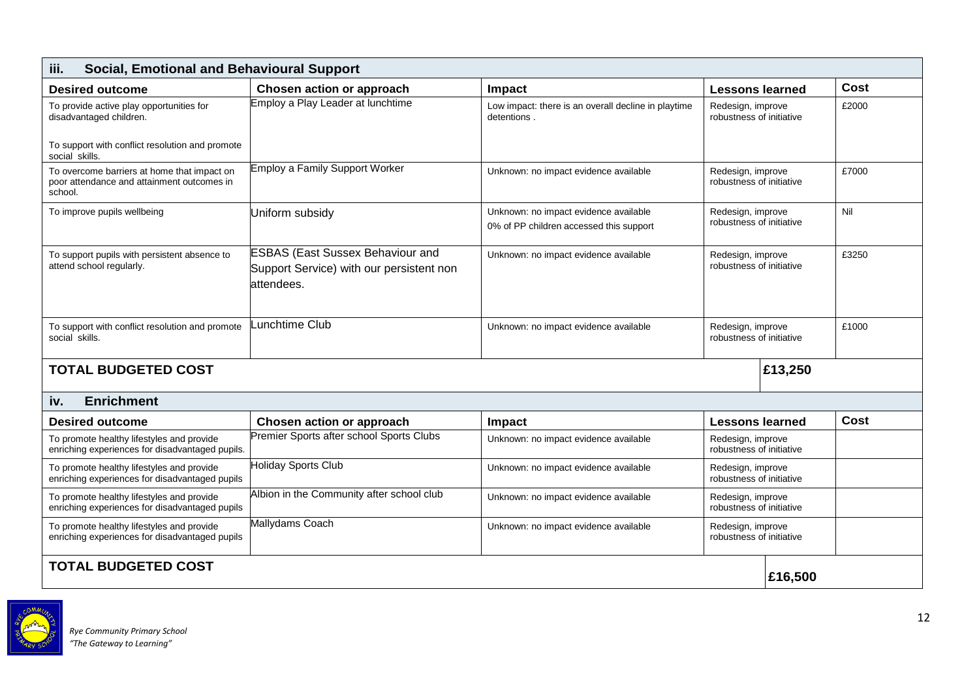| iii.<br><b>Social, Emotional and Behavioural Support</b>                                             |                                                                                                   |                                                                                  |                                               |  |       |  |  |  |  |
|------------------------------------------------------------------------------------------------------|---------------------------------------------------------------------------------------------------|----------------------------------------------------------------------------------|-----------------------------------------------|--|-------|--|--|--|--|
| <b>Desired outcome</b>                                                                               | Chosen action or approach                                                                         | <b>Impact</b>                                                                    | <b>Lessons learned</b>                        |  | Cost  |  |  |  |  |
| To provide active play opportunities for<br>disadvantaged children.                                  | Employ a Play Leader at lunchtime                                                                 | Low impact: there is an overall decline in playtime<br>detentions.               | Redesign, improve<br>robustness of initiative |  | £2000 |  |  |  |  |
| To support with conflict resolution and promote<br>social skills.                                    |                                                                                                   |                                                                                  |                                               |  |       |  |  |  |  |
| To overcome barriers at home that impact on<br>poor attendance and attainment outcomes in<br>school. | <b>Employ a Family Support Worker</b>                                                             | Unknown: no impact evidence available                                            | Redesign, improve<br>robustness of initiative |  | £7000 |  |  |  |  |
| To improve pupils wellbeing                                                                          | Uniform subsidy                                                                                   | Unknown: no impact evidence available<br>0% of PP children accessed this support | Redesign, improve<br>robustness of initiative |  | Nil   |  |  |  |  |
| To support pupils with persistent absence to<br>attend school regularly.                             | <b>ESBAS (East Sussex Behaviour and</b><br>Support Service) with our persistent non<br>attendees. | Unknown: no impact evidence available                                            | Redesign, improve<br>robustness of initiative |  | £3250 |  |  |  |  |
| To support with conflict resolution and promote<br>social skills.                                    | unchtime Club                                                                                     | Unknown: no impact evidence available                                            | Redesign, improve<br>robustness of initiative |  | £1000 |  |  |  |  |
| <b>TOTAL BUDGETED COST</b>                                                                           | £13,250                                                                                           |                                                                                  |                                               |  |       |  |  |  |  |
| <b>Enrichment</b><br>iv.                                                                             |                                                                                                   |                                                                                  |                                               |  |       |  |  |  |  |
| <b>Desired outcome</b>                                                                               | Chosen action or approach                                                                         | <b>Impact</b>                                                                    | <b>Lessons learned</b>                        |  | Cost  |  |  |  |  |
| To promote healthy lifestyles and provide<br>enriching experiences for disadvantaged pupils.         | Premier Sports after school Sports Clubs                                                          | Unknown: no impact evidence available                                            | Redesign, improve<br>robustness of initiative |  |       |  |  |  |  |
| To promote healthy lifestyles and provide<br>enriching experiences for disadvantaged pupils          | <b>Holiday Sports Club</b>                                                                        | Unknown: no impact evidence available                                            | Redesign, improve<br>robustness of initiative |  |       |  |  |  |  |
| To promote healthy lifestyles and provide<br>enriching experiences for disadvantaged pupils          | Albion in the Community after school club                                                         | Unknown: no impact evidence available                                            | Redesign, improve<br>robustness of initiative |  |       |  |  |  |  |
| To promote healthy lifestyles and provide<br>enriching experiences for disadvantaged pupils          | Mallydams Coach                                                                                   | Unknown: no impact evidence available                                            | Redesign, improve<br>robustness of initiative |  |       |  |  |  |  |
| <b>TOTAL BUDGETED COST</b>                                                                           |                                                                                                   |                                                                                  |                                               |  |       |  |  |  |  |